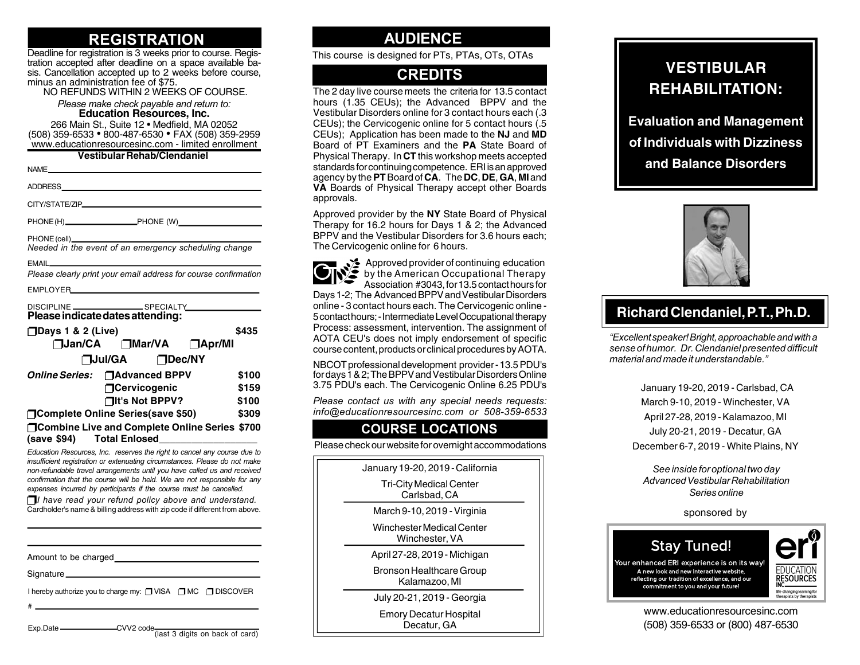## **REGISTRATION**

Deadline for registration is 3 weeks prior to course. Registration accepted after deadline on a space available basis. Cancellation accepted up to 2 weeks before course, minus an administration fee of \$75.

NO REFUNDS WITHIN 2 WEEKS OF COURSE.

*Please make check payable and return to:* **Education Resources, Inc.**

266 Main St., Suite 12 • Medfield, MA 02052 (508) 359-6533 • 800-487-6530 • FAX (508) 359-2959 www.educationresourcesinc.com - limited enrollment

**Vestibular Rehab/Clendaniel**

| VESUDUIAI NEIIAD/UIEIIUAIIIEI                                                                                                                          |       |
|--------------------------------------------------------------------------------------------------------------------------------------------------------|-------|
|                                                                                                                                                        |       |
|                                                                                                                                                        |       |
|                                                                                                                                                        |       |
|                                                                                                                                                        |       |
| Please clearly print your email address for course confirmation                                                                                        |       |
|                                                                                                                                                        |       |
| Please indicate dates attending:                                                                                                                       |       |
| <b>□Days 1 &amp; 2 (Live)</b>                                                                                                                          | \$435 |
| <b>Nan/CA</b> Mar/VA DApr/MI                                                                                                                           |       |
| □Jul/GA □Dec/NY                                                                                                                                        |       |
| Online Series: □ Advanced BPPV                                                                                                                         | \$100 |
| □Cervicogenic                                                                                                                                          | \$159 |
| $\Box$ It's Not BPPV?                                                                                                                                  | \$100 |
| □Complete Online Series(save \$50)                                                                                                                     | \$309 |
| □Combine Live and Complete Online Series \$700<br>(save \$94) Total Enlosed______________________                                                      |       |
| Education Resources, Inc. reserves the right to cancel any course due to<br>insufficient registration or extenuating circumstances. Please do not make |       |

*insufficient registration or extenuating circumstances. Please do not make non-refundable travel arrangements until you have called us and received confirmation that the course will be held. We are not responsible for any expenses incurred by participants if the course must be cancelled.*

*I have read your refund policy above and understand.* Cardholder's name & billing address with zip code if different from above.

Amount to be charged

Signature\_

I hereby authorize you to charge my: □ VISA □ MC □ DISCOVER

#

Exp.Date \_\_\_\_\_\_\_\_\_\_\_\_\_\_\_CVV2 code<sup>1</sup>(last 3 digits on back of card)

### **AUDIENCE**

This course is designed for PTs, PTAs, OTs, OTAs

### **CREDITS**

The 2 day live course meets the criteria for 13.5 contact hours (1.35 CEUs); the Advanced BPPV and the Vestibular Disorders online for 3 contact hours each (.3 CEUs); the Cervicogenic online for 5 contact hours (.5 CEUs); Application has been made to the **NJ** and **MD** Board of PT Examiners and the **PA** State Board of Physical Therapy. In **CT** this workshop meets accepted standards for continuing competence. ERI is an approved agency by the **PT** Board of **CA**. The **DC**, **DE**, **GA**, **MI** and **VA** Boards of Physical Therapy accept other Boards approvals.

Approved provider by the **NY** State Board of Physical Therapy for 16.2 hours for Days 1 & 2; the Advanced BPPV and the Vestibular Disorders for 3.6 hours each; The Cervicogenic online for 6 hours.

 $\blacktriangleright$  Approved provider of continuing education by the American Occupational Therapy Association #3043, for 13.5 contact hours for Days 1-2; The Advanced BPPV and Vestibular Disorders online - 3 contact hours each. The Cervicogenic online - 5 contact hours; - Intermediate Level Occupational therapy Process: assessment, intervention. The assignment of AOTA CEU's does not imply endorsement of specific course content, products or clinical procedures by AOTA.

NBCOT professional development provider - 13.5 PDU's for days 1 & 2; The BPPV and Vestibular Disorders Online 3.75 PDU's each. The Cervicogenic Online 6.25 PDU's

*Please contact us with any special needs requests: info@educationresourcesinc.com or 508-359-6533*

#### **COURSE LOCATIONS**

Please check our website for overnight accommodations

January 19-20, 2019 - California

Tri-City Medical Center Carlsbad, CA

March 9-10, 2019 - Virginia

Winchester Medical Center Winchester, VA

April 27-28, 2019 - Michigan

Bronson Healthcare Group Kalamazoo, MI

July 20-21, 2019 - Georgia

Emory Decatur Hospital Decatur, GA

# **VESTIBULAR REHABILITATION:**

**Evaluation and Management of Individuals with Dizziness and Balance Disorders**



## **Richard Clendaniel, P.T., Ph.D.**

*"Excellent speaker! Bright, approachable and with a sense of humor. Dr. Clendaniel presented difficult material and made it understandable."*

> January 19-20, 2019 - Carlsbad, CA March 9-10, 2019 - Winchester, VA April 27-28, 2019 - Kalamazoo, MI July 20-21, 2019 - Decatur, GA December 6-7, 2019 - White Plains, NY

*See inside for optional two day Advanced Vestibular Rehabilitation Series online*

sponsored by



**RESOURCES** life-changing learning for<br>therapists by therapists

(508) 359-6533 or (800) 487-6530 www.educationresourcesinc.com